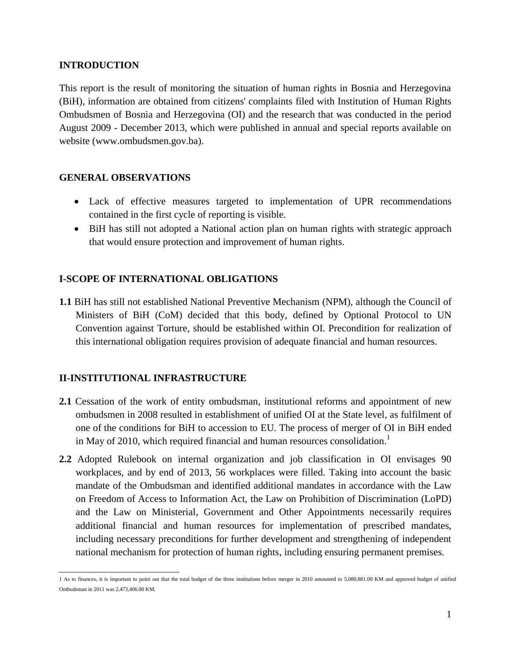## **INTRODUCTION**

This report is the result of monitoring the situation of human rights in Bosnia and Herzegovina (BiH), information are obtained from citizens' complaints filed with Institution of Human Rights Ombudsmen of Bosnia and Herzegovina (OI) and the research that was conducted in the period August 2009 - December 2013, which were published in annual and special reports available on website (www.ombudsmen.gov.ba).

# **GENERAL OBSERVATIONS**

- Lack of effective measures targeted to implementation of UPR recommendations contained in the first cycle of reporting is visible.
- BiH has still not adopted a National action plan on human rights with strategic approach that would ensure protection and improvement of human rights.

# **I-SCOPE OF INTERNATIONAL OBLIGATIONS**

**1.1** BiH has still not established National Preventive Mechanism (NPM), although the Council of Ministers of BiH (CoM) decided that this body, defined by Optional Protocol to UN Convention against Torture, should be established within OI. Precondition for realization of this international obligation requires provision of adequate financial and human resources.

# **II-INSTITUTIONAL INFRASTRUCTURE**

- **2.1** Cessation of the work of entity ombudsman, institutional reforms and appointment of new ombudsmen in 2008 resulted in establishment of unified OI at the State level, as fulfilment of one of the conditions for BiH to accession to EU. The process of merger of OI in BiH ended in May of 2010, which required financial and human resources consolidation.<sup>1</sup>
- **2.2** Adopted Rulebook on internal organization and job classification in OI envisages 90 workplaces, and by end of 2013, 56 workplaces were filled. Taking into account the basic mandate of the Ombudsman and identified additional mandates in accordance with the Law on Freedom of Access to Information Act, the Law on Prohibition of Discrimination (LoPD) and the Law on Ministerial, Government and Other Appointments necessarily requires additional financial and human resources for implementation of prescribed mandates, including necessary preconditions for further development and strengthening of independent national mechanism for protection of human rights, including ensuring permanent premises.

<sup>1</sup> As to finances, it is important to point out that the total budget of the three institutions before merger in 2010 amounted to 5,080,881.00 KM and approved budget of unified Ombudsman in 2011 was 2,473,406.00 KM.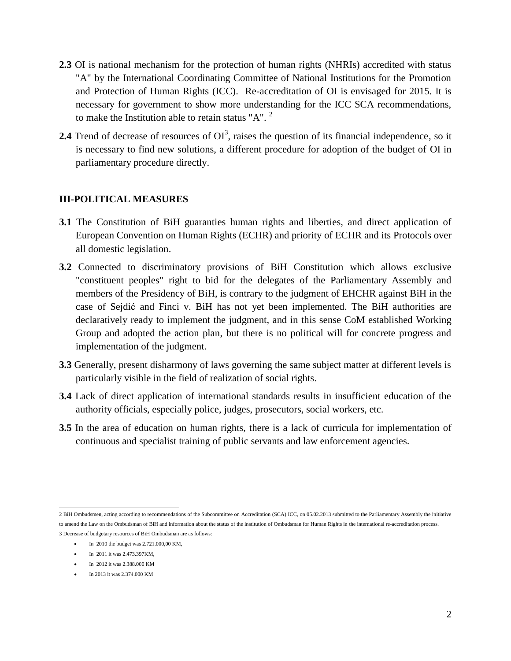- **2.3** OI is national mechanism for the protection of human rights (NHRIs) accredited with status "A" by the International Coordinating Committee of National Institutions for the Promotion and Protection of Human Rights (ICC). Re-accreditation of OI is envisaged for 2015. It is necessary for government to show more understanding for the ICC SCA recommendations, to make the Institution able to retain status " $A$ ". <sup>2</sup>
- **2.4** Trend of decrease of resources of  $OI^3$ , raises the question of its financial independence, so it is necessary to find new solutions, a different procedure for adoption of the budget of OI in parliamentary procedure directly.

## **III-POLITICAL MEASURES**

- **3.1** The Constitution of BiH guaranties human rights and liberties, and direct application of European Convention on Human Rights (ECHR) and priority of ECHR and its Protocols over all domestic legislation.
- **3.2** Connected to discriminatory provisions of BiH Constitution which allows exclusive "constituent peoples" right to bid for the delegates of the Parliamentary Assembly and members of the Presidency of BiH, is contrary to the judgment of EHCHR against BiH in the case of Sejdić and Finci v. BiH has not yet been implemented. The BiH authorities are declaratively ready to implement the judgment, and in this sense CoM established Working Group and adopted the action plan, but there is no political will for concrete progress and implementation of the judgment.
- **3.3** Generally, present disharmony of laws governing the same subject matter at different levels is particularly visible in the field of realization of social rights.
- **3.4** Lack of direct application of international standards results in insufficient education of the authority officials, especially police, judges, prosecutors, social workers, etc.
- **3.5** In the area of education on human rights, there is a lack of curricula for implementation of continuous and specialist training of public servants and law enforcement agencies.

- In 2012 it was 2.388.000 KM
- In 2013 it was 2.374.000 KM

 2 BiH Ombudsmen, acting according to recommendations of the Subcommittee on Accreditation (SCA) ICC, on 05.02.2013 submitted to the Parliamentary Assembly the initiative to amend the Law on the Ombudsman of BiH and information about the status of the institution of Ombudsman for Human Rights in the international re-accreditation process. 3 Decrease of budgetary resources of BiH Ombudsman are as follows:

 $\bullet$  In 2010 the budget was 2.721.000,00 KM,

In 2011 it was 2.473.397KM,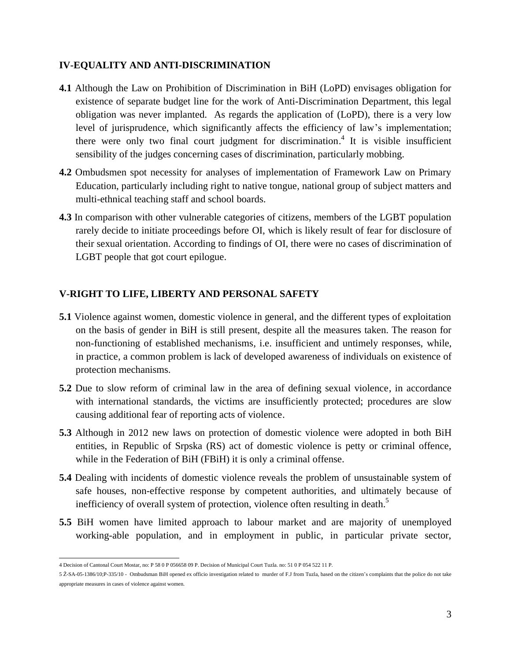# **IV-EQUALITY AND ANTI-DISCRIMINATION**

- **4.1** Although the Law on Prohibition of Discrimination in BiH (LoPD) envisages obligation for existence of separate budget line for the work of Anti-Discrimination Department, this legal obligation was never implanted. As regards the application of (LoPD), there is a very low level of jurisprudence, which significantly affects the efficiency of law's implementation; there were only two final court judgment for discrimination.<sup>4</sup> It is visible insufficient sensibility of the judges concerning cases of discrimination, particularly mobbing.
- **4.2** Ombudsmen spot necessity for analyses of implementation of Framework Law on Primary Education, particularly including right to native tongue, national group of subject matters and multi-ethnical teaching staff and school boards.
- **4.3** In comparison with other vulnerable categories of citizens, members of the LGBT population rarely decide to initiate proceedings before OI, which is likely result of fear for disclosure of their sexual orientation. According to findings of OI, there were no cases of discrimination of LGBT people that got court epilogue.

# **V-RIGHT TO LIFE, LIBERTY AND PERSONAL SAFETY**

- **5.1** Violence against women, domestic violence in general, and the different types of exploitation on the basis of gender in BiH is still present, despite all the measures taken. The reason for non-functioning of established mechanisms, i.e. insufficient and untimely responses, while, in practice, a common problem is lack of developed awareness of individuals on existence of protection mechanisms.
- **5.2** Due to slow reform of criminal law in the area of defining sexual violence, in accordance with international standards, the victims are insufficiently protected; procedures are slow causing additional fear of reporting acts of violence.
- **5.3** Although in 2012 new laws on protection of domestic violence were adopted in both BiH entities, in Republic of Srpska (RS) act of domestic violence is petty or criminal offence, while in the Federation of BiH (FBiH) it is only a criminal offense.
- **5.4** Dealing with incidents of domestic violence reveals the problem of unsustainable system of safe houses, non-effective response by competent authorities, and ultimately because of inefficiency of overall system of protection, violence often resulting in death.<sup>5</sup>
- **5.5** BiH women have limited approach to labour market and are majority of unemployed working-able population, and in employment in public, in particular private sector,

 4 Decision of Cantonal Court Mostar, no: P 58 0 P 056658 09 P. Decision of Municipal Court Tuzla. no: 51 0 P 054 522 11 P.

<sup>5</sup> Ž-SA-05-1386/10;P-335/10 - Ombudsman BiH opened ex officio investigation related to murder of F.J from Tuzla, based on the citizen's complaints that the police do not take appropriate measures in cases of violence against women.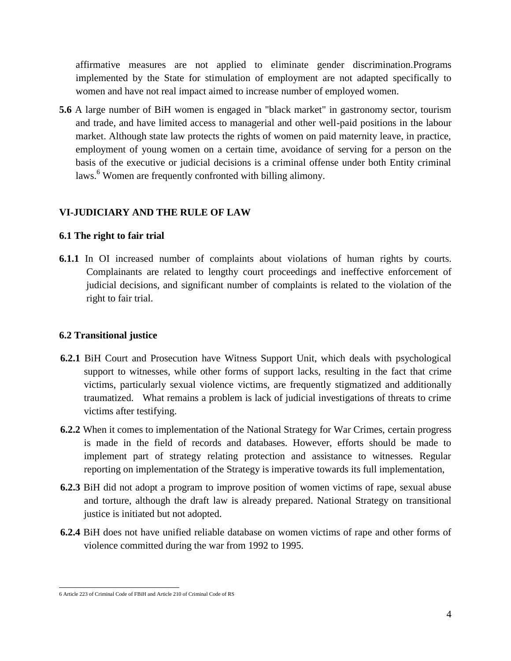affirmative measures are not applied to eliminate gender discrimination.Programs implemented by the State for stimulation of employment are not adapted specifically to women and have not real impact aimed to increase number of employed women.

**5.6** A large number of BiH women is engaged in "black market" in gastronomy sector, tourism and trade, and have limited access to managerial and other well-paid positions in the labour market. Although state law protects the rights of women on paid maternity leave, in practice, employment of young women on a certain time, avoidance of serving for a person on the basis of the executive or judicial decisions is a criminal offense under both Entity criminal laws.<sup>6</sup> Women are frequently confronted with billing alimony.

# **VI-JUDICIARY AND THE RULE OF LAW**

#### **6.1 The right to fair trial**

**6.1.1** In OI increased number of complaints about violations of human rights by courts. Complainants are related to lengthy court proceedings and ineffective enforcement of judicial decisions, and significant number of complaints is related to the violation of the right to fair trial.

## **6.2 Transitional justice**

- **6.2.1** BiH Court and Prosecution have Witness Support Unit, which deals with psychological support to witnesses, while other forms of support lacks, resulting in the fact that crime victims, particularly sexual violence victims, are frequently stigmatized and additionally traumatized. What remains a problem is lack of judicial investigations of threats to crime victims after testifying.
- **6.2.2** When it comes to implementation of the National Strategy for War Crimes, certain progress is made in the field of records and databases. However, efforts should be made to implement part of strategy relating protection and assistance to witnesses. Regular reporting on implementation of the Strategy is imperative towards its full implementation,
- **6.2.3** BiH did not adopt a program to improve position of women victims of rape, sexual abuse and torture, although the draft law is already prepared. National Strategy on transitional justice is initiated but not adopted.
- **6.2.4** BiH does not have unified reliable database on women victims of rape and other forms of violence committed during the war from 1992 to 1995.

 6 Article 223 of Criminal Code of FBiH and Article 210 of Criminal Code of RS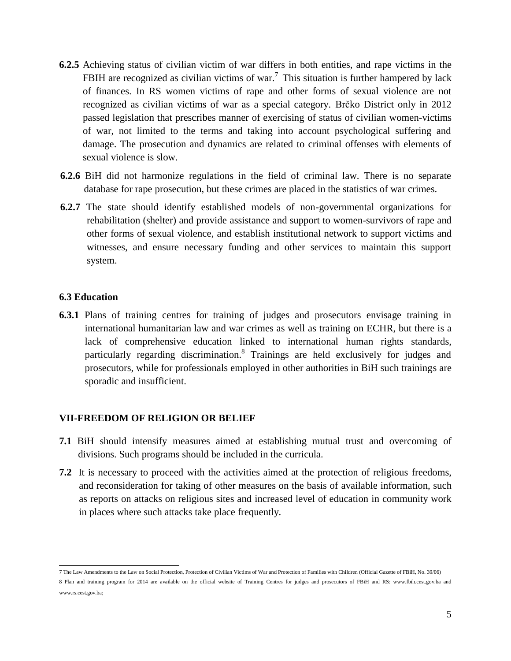- **6.2.5** Achieving status of civilian victim of war differs in both entities, and rape victims in the FBIH are recognized as civilian victims of war.<sup>7</sup> This situation is further hampered by lack of finances. In RS women victims of rape and other forms of sexual violence are not recognized as civilian victims of war as a special category. Brčko District only in 2012 passed legislation that prescribes manner of exercising of status of civilian women-victims of war, not limited to the terms and taking into account psychological suffering and damage. The prosecution and dynamics are related to criminal offenses with elements of sexual violence is slow.
- **6.2.6** BiH did not harmonize regulations in the field of criminal law. There is no separate database for rape prosecution, but these crimes are placed in the statistics of war crimes.
- **6.2.7** The state should identify established models of non-governmental organizations for rehabilitation (shelter) and provide assistance and support to women-survivors of rape and other forms of sexual violence, and establish institutional network to support victims and witnesses, and ensure necessary funding and other services to maintain this support system.

#### **6.3 Education**

**6.3.1** Plans of training centres for training of judges and prosecutors envisage training in international humanitarian law and war crimes as well as training on ECHR, but there is a lack of comprehensive education linked to international human rights standards, particularly regarding discrimination.<sup>8</sup> Trainings are held exclusively for judges and prosecutors, while for professionals employed in other authorities in BiH such trainings are sporadic and insufficient.

# **VII-FREEDOM OF RELIGION OR BELIEF**

- **7.1** BiH should intensify measures aimed at establishing mutual trust and overcoming of divisions. Such programs should be included in the curricula.
- **7.2** It is necessary to proceed with the activities aimed at the protection of religious freedoms, and reconsideration for taking of other measures on the basis of available information, such as reports on attacks on religious sites and increased level of education in community work in places where such attacks take place frequently.

 7 The Law Amendments to the Law on Social Protection, Protection of Civilian Victims of War and Protection of Families with Children (Official Gazette of FBiH, No. 39/06)

<sup>8</sup> Plan and training program for 2014 are available on the official website of Training Centres for judges and prosecutors of FBiH and RS: www.fbih.cest.gov.ba and www.rs.cest.gov.ba;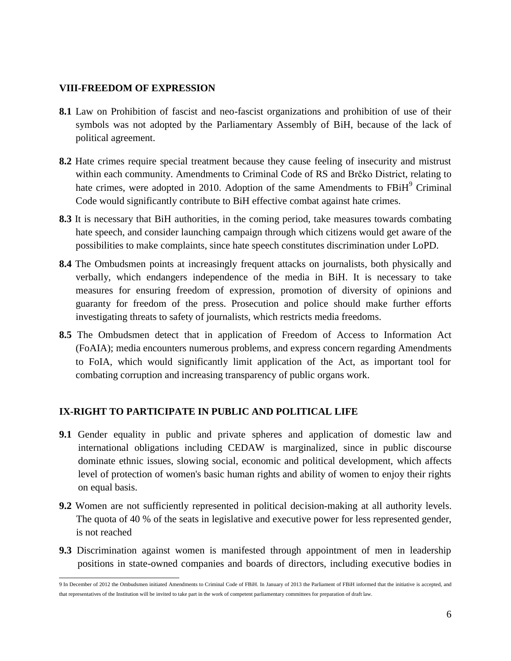#### **VIII-FREEDOM OF EXPRESSION**

- **8.1** Law on Prohibition of fascist and neo-fascist organizations and prohibition of use of their symbols was not adopted by the Parliamentary Assembly of BiH, because of the lack of political agreement.
- **8.2** Hate crimes require special treatment because they cause feeling of insecurity and mistrust within each community. Amendments to Criminal Code of RS and Brčko District, relating to hate crimes, were adopted in 2010. Adoption of the same Amendments to FBiH<sup>9</sup> Criminal Code would significantly contribute to BiH effective combat against hate crimes.
- **8.3** It is necessary that BiH authorities, in the coming period, take measures towards combating hate speech, and consider launching campaign through which citizens would get aware of the possibilities to make complaints, since hate speech constitutes discrimination under LoPD.
- **8.4** The Ombudsmen points at increasingly frequent attacks on journalists, both physically and verbally, which endangers independence of the media in BiH. It is necessary to take measures for ensuring freedom of expression, promotion of diversity of opinions and guaranty for freedom of the press. Prosecution and police should make further efforts investigating threats to safety of journalists, which restricts media freedoms.
- **8.5** The Ombudsmen detect that in application of Freedom of Access to Information Act (FoAIA); media encounters numerous problems, and express concern regarding Amendments to FoIA, which would significantly limit application of the Act, as important tool for combating corruption and increasing transparency of public organs work.

#### **IX-RIGHT TO PARTICIPATE IN PUBLIC AND POLITICAL LIFE**

- **9.1** Gender equality in public and private spheres and application of domestic law and international obligations including CEDAW is marginalized, since in public discourse dominate ethnic issues, slowing social, economic and political development, which affects level of protection of women's basic human rights and ability of women to enjoy their rights on equal basis.
- **9.2** Women are not sufficiently represented in political decision-making at all authority levels. The quota of 40 % of the seats in legislative and executive power for less represented gender, is not reached
- **9.3** Discrimination against women is manifested through appointment of men in leadership positions in state-owned companies and boards of directors, including executive bodies in

 9 In December of 2012 the Ombudsmen initiated Amendments to Criminal Code of FBiH. In January of 2013 the Parliament of FBiH informed that the initiative is accepted, and that representatives of the Institution will be invited to take part in the work of competent parliamentary committees for preparation of draft law.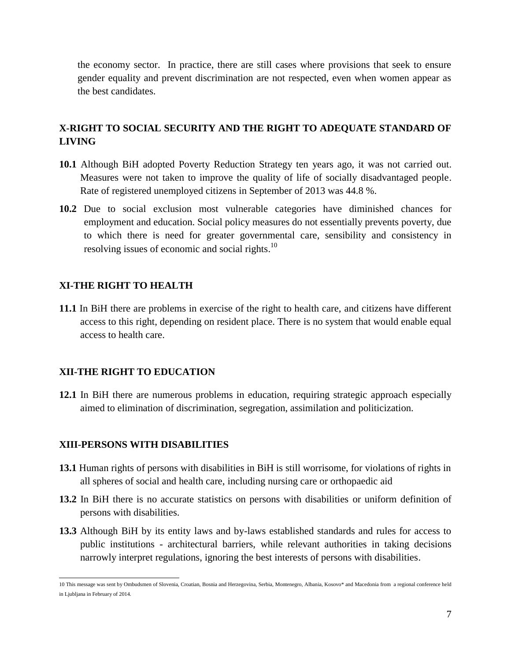the economy sector. In practice, there are still cases where provisions that seek to ensure gender equality and prevent discrimination are not respected, even when women appear as the best candidates.

# **X-RIGHT TO SOCIAL SECURITY AND THE RIGHT TO ADEQUATE STANDARD OF LIVING**

- **10.1** Although BiH adopted Poverty Reduction Strategy ten years ago, it was not carried out. Measures were not taken to improve the quality of life of socially disadvantaged people. Rate of registered unemployed citizens in September of 2013 was 44.8 %.
- **10.2** Due to social exclusion most vulnerable categories have diminished chances for employment and education. Social policy measures do not essentially prevents poverty, due to which there is need for greater governmental care, sensibility and consistency in resolving issues of economic and social rights.<sup>10</sup>

# **XI-THE RIGHT TO HEALTH**

**11.1** In BiH there are problems in exercise of the right to health care, and citizens have different access to this right, depending on resident place. There is no system that would enable equal access to health care.

# **XII-THE RIGHT TO EDUCATION**

**12.1** In BiH there are numerous problems in education, requiring strategic approach especially aimed to elimination of discrimination, segregation, assimilation and politicization.

# **XIII-PERSONS WITH DISABILITIES**

- **13.1** Human rights of persons with disabilities in BiH is still worrisome, for violations of rights in all spheres of social and health care, including nursing care or orthopaedic aid
- **13.2** In BiH there is no accurate statistics on persons with disabilities or uniform definition of persons with disabilities.
- **13.3** Although BiH by its entity laws and by-laws established standards and rules for access to public institutions - architectural barriers, while relevant authorities in taking decisions narrowly interpret regulations, ignoring the best interests of persons with disabilities.

 10 This message was sent by Ombudsmen of Slovenia, Croatian, Bosnia and Herzegovina, Serbia, Montenegro, Albania, Kosovo\* and Macedonia from a regional conference held in Ljubljana in February of 2014.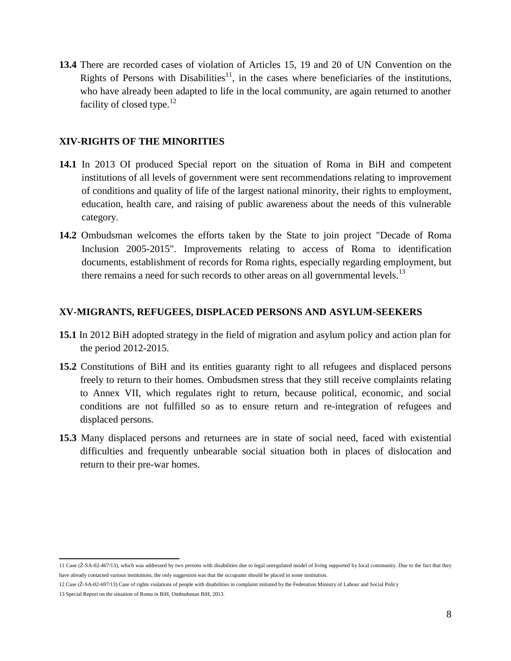**13.4** There are recorded cases of violation of Articles 15, 19 and 20 of UN Convention on the Rights of Persons with Disabilities<sup>11</sup>, in the cases where beneficiaries of the institutions, who have already been adapted to life in the local community, are again returned to another facility of closed type. $12$ 

### **XIV-RIGHTS OF THE MINORITIES**

- **14.1** In 2013 OI produced Special report on the situation of Roma in BiH and competent institutions of all levels of government were sent recommendations relating to improvement of conditions and quality of life of the largest national minority, their rights to employment, education, health care, and raising of public awareness about the needs of this vulnerable category.
- **14.2** Ombudsman welcomes the efforts taken by the State to join project "Decade of Roma Inclusion 2005-2015". Improvements relating to access of Roma to identification documents, establishment of records for Roma rights, especially regarding employment, but there remains a need for such records to other areas on all governmental levels.<sup>13</sup>

## **XV-MIGRANTS, REFUGEES, DISPLACED PERSONS AND ASYLUM-SEEKERS**

- **15.1** In 2012 BiH adopted strategy in the field of migration and asylum policy and action plan for the period 2012-2015.
- **15.2** Constitutions of BiH and its entities guaranty right to all refugees and displaced persons freely to return to their homes. Ombudsmen stress that they still receive complaints relating to Annex VII, which regulates right to return, because political, economic, and social conditions are not fulfilled so as to ensure return and re-integration of refugees and displaced persons.
- **15.3** Many displaced persons and returnees are in state of social need, faced with existential difficulties and frequently unbearable social situation both in places of dislocation and return to their pre-war homes.

<sup>11</sup> Case (Ž-SA-02-467/13), which was addressed by two persons with disabilities due to legal unregulated model of living supported by local community. Due to the fact that they have already contacted various institutions, the only suggestion was that the occupants should be placed in some institution.

<sup>12</sup> Case (Ž-SA-02-697/13) Case of rights violations of people with disabilities in complaint initiated by the Federation Ministry of Labour and Social Policy

<sup>13</sup> Special Report on the situation of Roma in BiH, Ombudsman BiH, 2013.